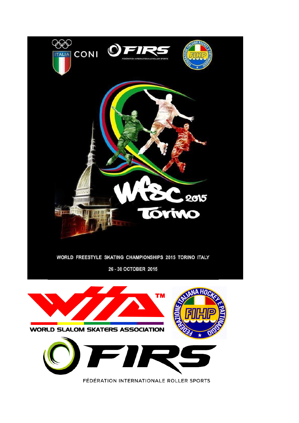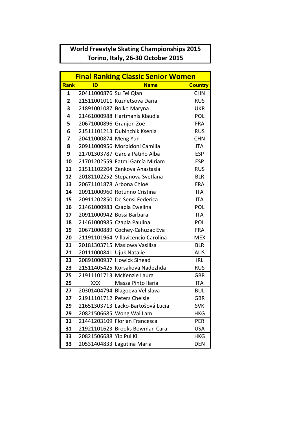## **World Freestyle Skating Championships 2015 Torino, Italy, 26-30 October 2015**

| <b>Final Ranking Classic Senior Women</b> |                           |                                    |                |  |
|-------------------------------------------|---------------------------|------------------------------------|----------------|--|
| <b>Rank</b>                               | ID                        | <b>Name</b>                        | <b>Country</b> |  |
| 1                                         | 20411000876 Su Fei Qian   |                                    | <b>CHN</b>     |  |
| $\overline{2}$                            |                           | 21511001011 Kuznetsova Daria       | <b>RUS</b>     |  |
| 3                                         |                           | 21891001087 Boiko Maryna           | <b>UKR</b>     |  |
| 4                                         |                           | 21461000988 Hartmanis Klaudia      | POL            |  |
| 5                                         | 20671000896 Granjon Zoé   |                                    | <b>FRA</b>     |  |
| 6                                         |                           | 21511101213 Dubinchik Ksenia       | <b>RUS</b>     |  |
| 7                                         | 20411000874 Meng Yun      |                                    | <b>CHN</b>     |  |
| 8                                         |                           | 20911000956 Morbidoni Camilla      | <b>ITA</b>     |  |
| 9                                         |                           | 21701303787 Garcia Patiño Alba     | <b>ESP</b>     |  |
| 10                                        |                           | 21701202559 Fatmi García Miriam    | <b>ESP</b>     |  |
| 11                                        |                           | 21511102204 Zenkova Anastasia      | <b>RUS</b>     |  |
| 12 <sup>1</sup>                           |                           | 20181102252 Stepanova Svetlana     | <b>BLR</b>     |  |
| 13                                        | 20671101878 Arbona Chloé  |                                    | <b>FRA</b>     |  |
| 14                                        |                           | 20911000960 Rotunno Cristina       | <b>ITA</b>     |  |
| 15                                        |                           | 20911202850 De Sensi Federica      | <b>ITA</b>     |  |
| 16                                        |                           | 21461000983 Czapla Ewelina         | POL            |  |
| 17 <sub>2</sub>                           | 20911000942 Bossi Barbara |                                    | <b>ITA</b>     |  |
| 18                                        |                           | 21461000985 Czapla Paulina         | POL            |  |
| 19                                        |                           | 20671000889 Cochey-Cahuzac Eva     | <b>FRA</b>     |  |
| 20                                        |                           | 21191101964 Villavicencio Carolina | <b>MEX</b>     |  |
| 21                                        |                           | 20181303715 Maslowa Vasilisa       | <b>BLR</b>     |  |
| 21                                        | 20111000841 Ujuk Natalie  |                                    | <b>AUS</b>     |  |
| 23                                        |                           | 20891000937 Howick Sinead          | IRL            |  |
| 23                                        |                           | 21511405425 Korsakova Nadezhda     | <b>RUS</b>     |  |
| 25                                        |                           | 21911101713 McKenzie Laura         | <b>GBR</b>     |  |
| 25                                        | <b>XXX</b>                | Massa Pinto Ilaria                 | <b>ITA</b>     |  |
| 27                                        |                           | 20301404794 Blagoeva Velislava     | <b>BUL</b>     |  |
| 27                                        |                           | 21911101712 Peters Chelsie         | GBR            |  |
| 29                                        |                           | 21651303713 Lacko-Bartošová Lucia  | <b>SVK</b>     |  |
| 29                                        |                           | 20821506685 Wong Wai Lam           | <b>HKG</b>     |  |
| 31                                        |                           | 21441203109 Florian Francesca      | PER            |  |
| 31                                        |                           | 21921101623 Brooks Bowman Cara     | <b>USA</b>     |  |
| 33                                        | 20821506688 Yip Pui Ki    |                                    | <b>HKG</b>     |  |
| 33                                        |                           | 20531404833 Lagutina Maria         | <b>DEN</b>     |  |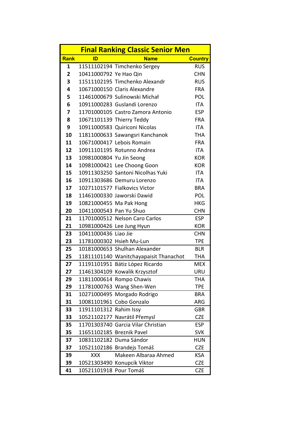| <b>Final Ranking Classic Senior Men</b> |                           |                                                    |                          |  |
|-----------------------------------------|---------------------------|----------------------------------------------------|--------------------------|--|
| Rank                                    | ID                        | <b>Name</b>                                        | <b>Country</b>           |  |
| 1                                       |                           | 11511102194 Timchenko Sergey                       | <b>RUS</b>               |  |
| $\overline{2}$                          | 10411000792 Ye Hao Qin    |                                                    | <b>CHN</b>               |  |
| 3                                       |                           | 11511102195 Timchenko Alexandr                     | <b>RUS</b>               |  |
| 4                                       |                           | 10671000150 Claris Alexandre                       | <b>FRA</b>               |  |
| 5                                       |                           | 11461000679 Sulinowski Michał                      | POL                      |  |
| 6                                       |                           | 10911000283 Guslandi Lorenzo                       | <b>ITA</b>               |  |
| 7                                       |                           | 11701000105 Castro Zamora Antonio                  | <b>ESP</b>               |  |
| 8                                       |                           | 10671101139 Thierry Teddy                          | <b>FRA</b>               |  |
| 9                                       |                           | 10911000583 Quiriconi Nicolas                      | <b>ITA</b>               |  |
| 10                                      |                           | 11811000633 Sawangsri Kanchanok                    | <b>THA</b>               |  |
| 11                                      |                           | 10671000417 Lebois Romain                          | <b>FRA</b>               |  |
| 12                                      |                           | 10911101195 Rotunno Andrea                         | <b>ITA</b>               |  |
| 13 <sup>7</sup>                         | 10981000804 Yu Jin Seong  |                                                    | <b>KOR</b>               |  |
| 14                                      |                           | 10981000421 Lee Choong Goon                        | <b>KOR</b>               |  |
| 15                                      |                           | 10911303250 Santoni Nicolhas Yuki                  | <b>ITA</b>               |  |
| 16                                      |                           | 10911303686 Demuru Lorenzo                         | <b>ITA</b>               |  |
| 17 <sup>1</sup>                         |                           | 10271101577 Fialkovics Victor                      | <b>BRA</b>               |  |
| 18                                      |                           | 11461000330 Jaworski Dawid                         | POL                      |  |
| 19                                      | 10821000455 Ma Pak Hong   |                                                    | <b>HKG</b>               |  |
| 20                                      | 10411000543 Pan Yu Shuo   |                                                    | <b>CHN</b>               |  |
| 21                                      |                           | 11701000512 Nelson Caro Carlos                     | <b>ESP</b>               |  |
| 21                                      |                           | 10981000426 Lee Jung Hyun                          | <b>KOR</b>               |  |
| 23                                      | 10411000436 Liao Jie      |                                                    | <b>CHN</b>               |  |
| 23                                      |                           | 11781000302 Hsieh Mu-Lun                           | <b>TPE</b>               |  |
| 25                                      |                           | 10181000653 Shulhan Alexander                      | <b>BLR</b>               |  |
| 25 <sub>2</sub>                         |                           | 11811101140 Wanitchayapaisit Thanachot             | <b>THA</b>               |  |
| 27                                      |                           | 11191101951 Bátiz López Ricardo                    | <b>MEX</b>               |  |
| 27                                      |                           | 11461304109 Kowalik Krzysztof                      | <b>URU</b>               |  |
| 29                                      |                           | 11811000614 Rompo Chawis                           | THA                      |  |
| 29                                      |                           | 11781000763 Wang Shen-Wen                          | <b>TPE</b>               |  |
| 31                                      |                           | 10271000495 Morgado Rodrigo                        | <b>BRA</b>               |  |
| 31                                      |                           | 10081101961 Cobo Gonzalo                           | ARG                      |  |
| 33                                      | 11911101312 Rahim Issy    |                                                    | <b>GBR</b>               |  |
| 33                                      |                           | 10521102177 Navrátil Přemysl                       | <b>CZE</b>               |  |
| 35                                      |                           | 11701303740 Garcia Vilar Christian                 | <b>ESP</b>               |  |
| 35                                      | 11651102185 Breznik Pavel |                                                    | <b>SVK</b>               |  |
| 37                                      |                           | 10831102182 Duma Sándor                            | <b>HUN</b>               |  |
| 37                                      |                           | 10521102186 Brandejs Tomáš<br>Makeen Albaraa Ahmed | <b>CZE</b>               |  |
| 39                                      | <b>XXX</b>                |                                                    | <b>KSA</b>               |  |
| 39<br>41                                | 10521101918 Pour Tomáš    | 10521303490 Konupcik Viktor                        | <b>CZE</b><br><b>CZE</b> |  |
|                                         |                           |                                                    |                          |  |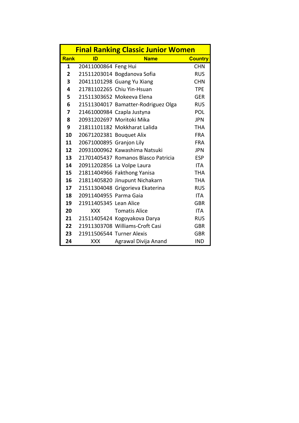| <b>Final Ranking Classic Junior Women</b> |                           |                                     |                |  |
|-------------------------------------------|---------------------------|-------------------------------------|----------------|--|
| <b>Rank</b>                               | ID                        | <b>Name</b>                         | <b>Country</b> |  |
| 1                                         | 20411000864 Feng Hui      |                                     | <b>CHN</b>     |  |
| $\overline{2}$                            |                           | 21511203014 Bogdanova Sofia         | <b>RUS</b>     |  |
| 3                                         |                           | 20411101298 Guang Yu Xiang          | <b>CHN</b>     |  |
| 4                                         |                           | 21781102265 Chiu Yin-Hsuan          | <b>TPE</b>     |  |
| 5                                         |                           | 21511303652 Mokeeva Elena           | <b>GER</b>     |  |
| 6                                         |                           | 21511304017 Bamatter-Rodriguez Olga | <b>RUS</b>     |  |
| 7                                         |                           | 21461000984 Czapla Justyna          | POL            |  |
| 8                                         |                           | 20931202697 Moritoki Mika           | <b>JPN</b>     |  |
| 9                                         |                           | 21811101182 Mokkharat Lalida        | <b>THA</b>     |  |
| 10                                        | 20671202381 Bouquet Alix  |                                     | <b>FRA</b>     |  |
| 11                                        | 20671000895 Granjon Lily  |                                     | <b>FRA</b>     |  |
| 12                                        |                           | 20931000962 Kawashima Natsuki       | <b>JPN</b>     |  |
| 13                                        |                           | 21701405437 Romanos Blasco Patricia | <b>ESP</b>     |  |
| 14                                        |                           | 20911202856 La Volpe Laura          | ITA            |  |
| 15                                        |                           | 21811404966 Fakthong Yanisa         | <b>THA</b>     |  |
| 16                                        |                           | 21811405820 Jinupunt Nichakarn      | <b>THA</b>     |  |
| 17                                        |                           | 21511304048 Grigorieva Ekaterina    | <b>RUS</b>     |  |
| 18                                        | 20911404955 Parma Gaia    |                                     | <b>ITA</b>     |  |
| 19                                        | 21911405345 Lean Alice    |                                     | <b>GBR</b>     |  |
| 20                                        | <b>XXX</b>                | <b>Tomatis Alice</b>                | <b>ITA</b>     |  |
| 21                                        |                           | 21511405424 Kogoyakova Darya        | <b>RUS</b>     |  |
| 22 <sub>2</sub>                           |                           | 21911303708 Williams-Croft Casi     | <b>GBR</b>     |  |
| 23                                        | 21911506544 Turner Alexis |                                     | <b>GBR</b>     |  |
| 24                                        | <b>XXX</b>                | Agrawal Divija Anand                | <b>IND</b>     |  |